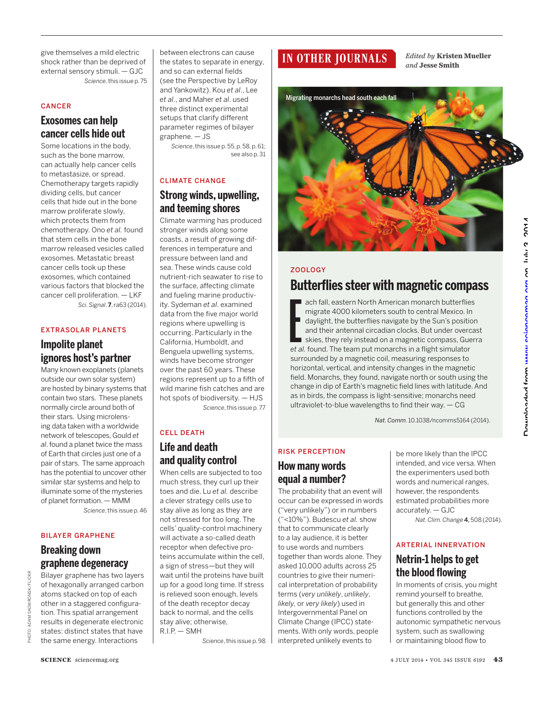give themselves a mild electric shock rather than be deprived of external sensory stimuli. — GJC *Science*, this issue p. 75

#### CANCER

## **Exosomes can help cancer cells hide out**

Some locations in the body, such as the bone marrow, can actually help cancer cells to metastasize, or spread. Chemotherapy targets rapidly dividing cells, but cancer cells that hide out in the bone marrow proliferate slowly, which protects them from chemotherapy. Ono *et al.* found that stem cells in the bone marrow released vesicles called exosomes. Metastatic breast cancer cells took up these exosomes, which contained various factors that blocked the cancer cell proliferation. — LKF *Sci. Signal*. **7**, ra63 (2014).

### EXTRASOLAR PLANETS

### **Impolite planet ignores host's partner**

Many known exoplanets (planets outside our own solar system) are hosted by binary systems that contain two stars. These planets normally circle around both of their stars. Using microlensing data taken with a worldwide network of telescopes, Gould *et al*. found a planet twice the mass of Earth that circles just one of a pair of stars. The same approach has the potential to uncover other similar star systems and help to illuminate some of the mysteries of planet formation. — MMM

*Science*, this issue p. 46

### BILAYER GRAPHENE

# **Breaking down graphene degeneracy**

PHOTO: ADAM SKOWRONSK/FLICKR

Bilayer graphene has two layers of hexagonally arranged carbon atoms stacked on top of each other in a staggered configuration. This spatial arrangement results in degenerate electronic states: distinct states that have the same energy. Interactions

between electrons can cause the states to separate in energy, and so can external fields (see the Perspective by LeRoy and Yankowitz). Kou *et al*., Lee *et al*., and Maher *et al*. used three distinct experimental setups that clarify different parameter regimes of bilayer graphene. — JS

> *Science*, this issue p. 55, p. 58, p. 61; see also p. 31

#### CLIMATE CHANGE

### **Strong winds, upwelling, and teeming shores**

Climate warming has produced stronger winds along some coasts, a result of growing differences in temperature and pressure between land and sea. These winds cause cold nutrient-rich seawater to rise to the surface, affecting climate and fueling marine productivity. Sydeman *et al*. examined data from the five major world regions where upwelling is occurring. Particularly in the California, Humboldt, and Benguela upwelling systems, winds have become stronger over the past 60 years. These regions represent up to a fifth of wild marine fish catches and are hot spots of biodiversity. — HJS *Science*, this issue p. 77

### CELL DEATH

# **Life and death and quality control**

When cells are subjected to too much stress, they curl up their toes and die. Lu *et al.* describe a clever strategy cells use to stay alive as long as they are not stressed for too long. The cells' quality-control machinery will activate a so-called death receptor when defective proteins accumulate within the cell, a sign of stress—but they will wait until the proteins have built up for a good long time. If stress is relieved soon enough, levels of the death receptor decay back to normal, and the cells stay alive; otherwise, R.I.P. — SMH

*Science*, this issue p. 98

# **IN OTHER JOURNALS**

*Edited by* **Kristen Mueller**  *and* **Jesse Smith**



#### **ZOOLOGY**

**Butterflies steer with magnetic compass**<br>
ach fall, eastern North American monarch butterflies<br>
migrate 4000 kilometers south to central Mexico. In<br>
daylight, the butterflies navigate by the Sun's position<br>
and their ante ach fall, eastern North American monarch butterflies migrate 4000 kilometers south to central Mexico. In daylight, the butterflies navigate by the Sun's position and their antennal circadian clocks. But under overcast skies, they rely instead on a magnetic compass, Guerra *et al.* found. The team put monarchs in a flight simulator surrounded by a magnetic coil, measuring responses to horizontal, vertical, and intensity changes in the magnetic field. Monarchs, they found, navigate north or south using the change in dip of Earth's magnetic field lines with latitude. And as in birds, the compass is light-sensitive; monarchs need ultraviolet-to-blue wavelengths to find their way. — CG

*Nat. Comm*. 10.1038/ncomms5164 (2014).

# RISK PERCEPTION  **How many words equal a number?**

The probability that an event will occur can be expressed in words ("very unlikely") or in numbers ("<10%"). Budescu *et al.* show that to communicate clearly to a lay audience, it is better to use words and numbers together than words alone. They asked 10,000 adults across 25 countries to give their numerical interpretation of probability terms (*very unlikely*, *unlikely*, *likely,* or *very likely*) used in Intergovernmental Panel on Climate Change (IPCC) statements. With only words, people interpreted unlikely events to

be more likely than the IPCC intended, and vice versa. When the experimenters used both words and numerical ranges, however, the respondents estimated probabilities more accurately. — GJC

*Nat. Clim. Change* <sup>4</sup>, 508 (2014).

#### ARTERIAL INNERVATION

# **Netrin-1 helps to get the blood flowing**

In moments of crisis, you might remind yourself to breathe, but generally this and other functions controlled by the autonomic sympathetic nervous system, such as swallowing or maintaining blood flow to